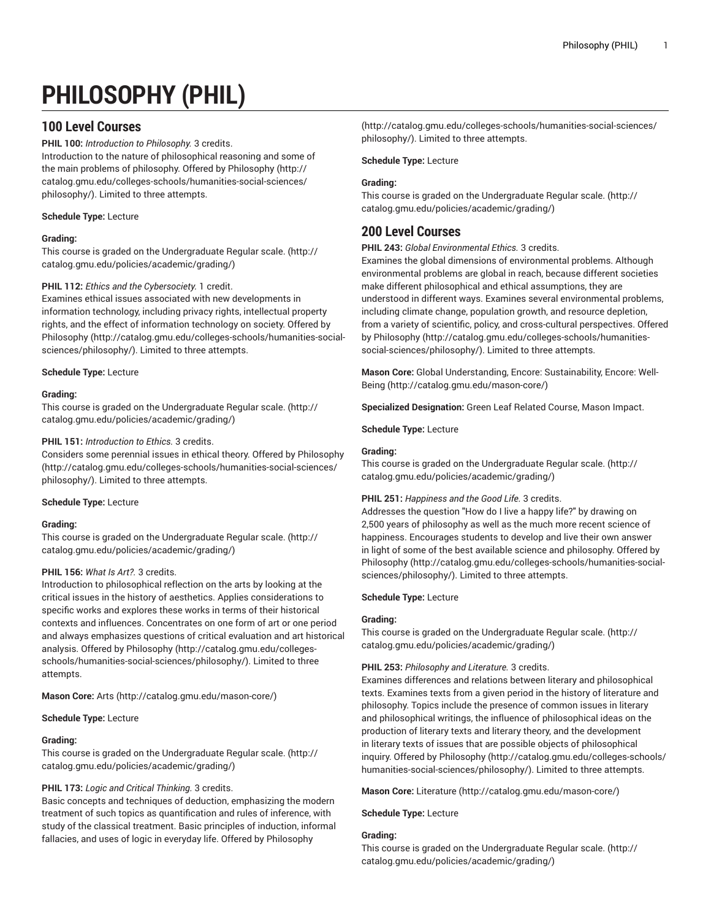# **PHILOSOPHY (PHIL)**

# **100 Level Courses**

**PHIL 100:** *Introduction to Philosophy.* 3 credits.

Introduction to the nature of philosophical reasoning and some of the main problems of philosophy. Offered by [Philosophy](http://catalog.gmu.edu/colleges-schools/humanities-social-sciences/philosophy/) [\(http://](http://catalog.gmu.edu/colleges-schools/humanities-social-sciences/philosophy/) [catalog.gmu.edu/colleges-schools/humanities-social-sciences/](http://catalog.gmu.edu/colleges-schools/humanities-social-sciences/philosophy/) [philosophy/\)](http://catalog.gmu.edu/colleges-schools/humanities-social-sciences/philosophy/). Limited to three attempts.

# **Schedule Type:** Lecture

# **Grading:**

This course is graded on the [Undergraduate](http://catalog.gmu.edu/policies/academic/grading/) Regular scale. ([http://](http://catalog.gmu.edu/policies/academic/grading/) [catalog.gmu.edu/policies/academic/grading/\)](http://catalog.gmu.edu/policies/academic/grading/)

# **PHIL 112:** *Ethics and the Cybersociety.* 1 credit.

Examines ethical issues associated with new developments in information technology, including privacy rights, intellectual property rights, and the effect of information technology on society. Offered by [Philosophy](http://catalog.gmu.edu/colleges-schools/humanities-social-sciences/philosophy/) ([http://catalog.gmu.edu/colleges-schools/humanities-social](http://catalog.gmu.edu/colleges-schools/humanities-social-sciences/philosophy/)[sciences/philosophy/\)](http://catalog.gmu.edu/colleges-schools/humanities-social-sciences/philosophy/). Limited to three attempts.

# **Schedule Type:** Lecture

# **Grading:**

This course is graded on the [Undergraduate](http://catalog.gmu.edu/policies/academic/grading/) Regular scale. ([http://](http://catalog.gmu.edu/policies/academic/grading/) [catalog.gmu.edu/policies/academic/grading/\)](http://catalog.gmu.edu/policies/academic/grading/)

# **PHIL 151:** *Introduction to Ethics.* 3 credits.

Considers some perennial issues in ethical theory. Offered by [Philosophy](http://catalog.gmu.edu/colleges-schools/humanities-social-sciences/philosophy/) ([http://catalog.gmu.edu/colleges-schools/humanities-social-sciences/](http://catalog.gmu.edu/colleges-schools/humanities-social-sciences/philosophy/) [philosophy/\)](http://catalog.gmu.edu/colleges-schools/humanities-social-sciences/philosophy/). Limited to three attempts.

## **Schedule Type:** Lecture

## **Grading:**

This course is graded on the [Undergraduate](http://catalog.gmu.edu/policies/academic/grading/) Regular scale. ([http://](http://catalog.gmu.edu/policies/academic/grading/) [catalog.gmu.edu/policies/academic/grading/\)](http://catalog.gmu.edu/policies/academic/grading/)

## **PHIL 156:** *What Is Art?.* 3 credits.

Introduction to philosophical reflection on the arts by looking at the critical issues in the history of aesthetics. Applies considerations to specific works and explores these works in terms of their historical contexts and influences. Concentrates on one form of art or one period and always emphasizes questions of critical evaluation and art historical analysis. Offered by [Philosophy](http://catalog.gmu.edu/colleges-schools/humanities-social-sciences/philosophy/) ([http://catalog.gmu.edu/colleges](http://catalog.gmu.edu/colleges-schools/humanities-social-sciences/philosophy/)[schools/humanities-social-sciences/philosophy/](http://catalog.gmu.edu/colleges-schools/humanities-social-sciences/philosophy/)). Limited to three attempts.

**Mason Core:** [Arts](http://catalog.gmu.edu/mason-core/) ([http://catalog.gmu.edu/mason-core/\)](http://catalog.gmu.edu/mason-core/)

## **Schedule Type:** Lecture

## **Grading:**

This course is graded on the [Undergraduate](http://catalog.gmu.edu/policies/academic/grading/) Regular scale. ([http://](http://catalog.gmu.edu/policies/academic/grading/) [catalog.gmu.edu/policies/academic/grading/\)](http://catalog.gmu.edu/policies/academic/grading/)

## **PHIL 173:** *Logic and Critical Thinking.* 3 credits.

Basic concepts and techniques of deduction, emphasizing the modern treatment of such topics as quantification and rules of inference, with study of the classical treatment. Basic principles of induction, informal fallacies, and uses of logic in everyday life. Offered by [Philosophy](http://catalog.gmu.edu/colleges-schools/humanities-social-sciences/philosophy/)

[\(http://catalog.gmu.edu/colleges-schools/humanities-social-sciences/](http://catalog.gmu.edu/colleges-schools/humanities-social-sciences/philosophy/) [philosophy/](http://catalog.gmu.edu/colleges-schools/humanities-social-sciences/philosophy/)). Limited to three attempts.

#### **Schedule Type:** Lecture

#### **Grading:**

This course is graded on the [Undergraduate](http://catalog.gmu.edu/policies/academic/grading/) Regular scale. ([http://](http://catalog.gmu.edu/policies/academic/grading/) [catalog.gmu.edu/policies/academic/grading/](http://catalog.gmu.edu/policies/academic/grading/))

# **200 Level Courses**

**PHIL 243:** *Global Environmental Ethics.* 3 credits.

Examines the global dimensions of environmental problems. Although environmental problems are global in reach, because different societies make different philosophical and ethical assumptions, they are understood in different ways. Examines several environmental problems, including climate change, population growth, and resource depletion, from a variety of scientific, policy, and cross-cultural perspectives. Offered by [Philosophy](http://catalog.gmu.edu/colleges-schools/humanities-social-sciences/philosophy/) ([http://catalog.gmu.edu/colleges-schools/humanities](http://catalog.gmu.edu/colleges-schools/humanities-social-sciences/philosophy/)[social-sciences/philosophy/\)](http://catalog.gmu.edu/colleges-schools/humanities-social-sciences/philosophy/). Limited to three attempts.

**Mason Core:** Global [Understanding,](http://catalog.gmu.edu/mason-core/) Encore: Sustainability, Encore: Well-[Being \(http://catalog.gmu.edu/mason-core/](http://catalog.gmu.edu/mason-core/))

**Specialized Designation:** Green Leaf Related Course, Mason Impact.

**Schedule Type:** Lecture

#### **Grading:**

This course is graded on the [Undergraduate](http://catalog.gmu.edu/policies/academic/grading/) Regular scale. ([http://](http://catalog.gmu.edu/policies/academic/grading/) [catalog.gmu.edu/policies/academic/grading/](http://catalog.gmu.edu/policies/academic/grading/))

## **PHIL 251:** *Happiness and the Good Life.* 3 credits.

Addresses the question "How do I live a happy life?" by drawing on 2,500 years of philosophy as well as the much more recent science of happiness. Encourages students to develop and live their own answer in light of some of the best available science and philosophy. Offered by [Philosophy](http://catalog.gmu.edu/colleges-schools/humanities-social-sciences/philosophy/) [\(http://catalog.gmu.edu/colleges-schools/humanities-social](http://catalog.gmu.edu/colleges-schools/humanities-social-sciences/philosophy/)[sciences/philosophy/](http://catalog.gmu.edu/colleges-schools/humanities-social-sciences/philosophy/)). Limited to three attempts.

# **Schedule Type:** Lecture

## **Grading:**

This course is graded on the [Undergraduate](http://catalog.gmu.edu/policies/academic/grading/) Regular scale. ([http://](http://catalog.gmu.edu/policies/academic/grading/) [catalog.gmu.edu/policies/academic/grading/](http://catalog.gmu.edu/policies/academic/grading/))

## **PHIL 253:** *Philosophy and Literature.* 3 credits.

Examines differences and relations between literary and philosophical texts. Examines texts from a given period in the history of literature and philosophy. Topics include the presence of common issues in literary and philosophical writings, the influence of philosophical ideas on the production of literary texts and literary theory, and the development in literary texts of issues that are possible objects of philosophical inquiry. Offered by [Philosophy](http://catalog.gmu.edu/colleges-schools/humanities-social-sciences/philosophy/) [\(http://catalog.gmu.edu/colleges-schools/](http://catalog.gmu.edu/colleges-schools/humanities-social-sciences/philosophy/) [humanities-social-sciences/philosophy/](http://catalog.gmu.edu/colleges-schools/humanities-social-sciences/philosophy/)). Limited to three attempts.

**Mason Core:** [Literature](http://catalog.gmu.edu/mason-core/) ([http://catalog.gmu.edu/mason-core/\)](http://catalog.gmu.edu/mason-core/)

**Schedule Type:** Lecture

# **Grading:**

This course is graded on the [Undergraduate](http://catalog.gmu.edu/policies/academic/grading/) Regular scale. ([http://](http://catalog.gmu.edu/policies/academic/grading/) [catalog.gmu.edu/policies/academic/grading/](http://catalog.gmu.edu/policies/academic/grading/))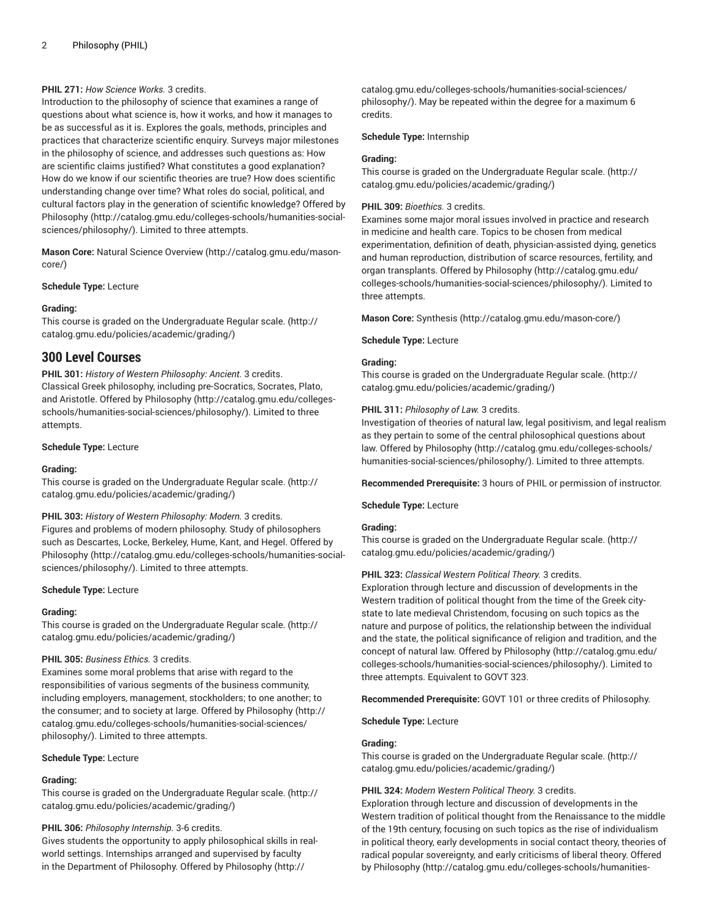# **PHIL 271:** *How Science Works.* 3 credits.

Introduction to the philosophy of science that examines a range of questions about what science is, how it works, and how it manages to be as successful as it is. Explores the goals, methods, principles and practices that characterize scientific enquiry. Surveys major milestones in the philosophy of science, and addresses such questions as: How are scientific claims justified? What constitutes a good explanation? How do we know if our scientific theories are true? How does scientific understanding change over time? What roles do social, political, and cultural factors play in the generation of scientific knowledge? Offered by [Philosophy](http://catalog.gmu.edu/colleges-schools/humanities-social-sciences/philosophy/) ([http://catalog.gmu.edu/colleges-schools/humanities-social](http://catalog.gmu.edu/colleges-schools/humanities-social-sciences/philosophy/)[sciences/philosophy/\)](http://catalog.gmu.edu/colleges-schools/humanities-social-sciences/philosophy/). Limited to three attempts.

**Mason Core:** Natural Science [Overview](http://catalog.gmu.edu/mason-core/) ([http://catalog.gmu.edu/mason](http://catalog.gmu.edu/mason-core/)[core/\)](http://catalog.gmu.edu/mason-core/)

#### **Schedule Type:** Lecture

# **Grading:**

This course is graded on the [Undergraduate](http://catalog.gmu.edu/policies/academic/grading/) Regular scale. ([http://](http://catalog.gmu.edu/policies/academic/grading/) [catalog.gmu.edu/policies/academic/grading/\)](http://catalog.gmu.edu/policies/academic/grading/)

# **300 Level Courses**

**PHIL 301:** *History of Western Philosophy: Ancient.* 3 credits. Classical Greek philosophy, including pre-Socratics, Socrates, Plato, and Aristotle. Offered by [Philosophy](http://catalog.gmu.edu/colleges-schools/humanities-social-sciences/philosophy/) ([http://catalog.gmu.edu/colleges](http://catalog.gmu.edu/colleges-schools/humanities-social-sciences/philosophy/)[schools/humanities-social-sciences/philosophy/](http://catalog.gmu.edu/colleges-schools/humanities-social-sciences/philosophy/)). Limited to three attempts.

## **Schedule Type:** Lecture

## **Grading:**

This course is graded on the [Undergraduate](http://catalog.gmu.edu/policies/academic/grading/) Regular scale. ([http://](http://catalog.gmu.edu/policies/academic/grading/) [catalog.gmu.edu/policies/academic/grading/\)](http://catalog.gmu.edu/policies/academic/grading/)

## **PHIL 303:** *History of Western Philosophy: Modern.* 3 credits.

Figures and problems of modern philosophy. Study of philosophers such as Descartes, Locke, Berkeley, Hume, Kant, and Hegel. Offered by [Philosophy](http://catalog.gmu.edu/colleges-schools/humanities-social-sciences/philosophy/) ([http://catalog.gmu.edu/colleges-schools/humanities-social](http://catalog.gmu.edu/colleges-schools/humanities-social-sciences/philosophy/)[sciences/philosophy/\)](http://catalog.gmu.edu/colleges-schools/humanities-social-sciences/philosophy/). Limited to three attempts.

## **Schedule Type:** Lecture

## **Grading:**

This course is graded on the [Undergraduate](http://catalog.gmu.edu/policies/academic/grading/) Regular scale. ([http://](http://catalog.gmu.edu/policies/academic/grading/) [catalog.gmu.edu/policies/academic/grading/\)](http://catalog.gmu.edu/policies/academic/grading/)

## **PHIL 305:** *Business Ethics.* 3 credits.

Examines some moral problems that arise with regard to the responsibilities of various segments of the business community, including employers, management, stockholders; to one another; to the consumer; and to society at large. Offered by [Philosophy](http://catalog.gmu.edu/colleges-schools/humanities-social-sciences/philosophy/) [\(http://](http://catalog.gmu.edu/colleges-schools/humanities-social-sciences/philosophy/) [catalog.gmu.edu/colleges-schools/humanities-social-sciences/](http://catalog.gmu.edu/colleges-schools/humanities-social-sciences/philosophy/) [philosophy/\)](http://catalog.gmu.edu/colleges-schools/humanities-social-sciences/philosophy/). Limited to three attempts.

## **Schedule Type:** Lecture

## **Grading:**

This course is graded on the [Undergraduate](http://catalog.gmu.edu/policies/academic/grading/) Regular scale. ([http://](http://catalog.gmu.edu/policies/academic/grading/) [catalog.gmu.edu/policies/academic/grading/\)](http://catalog.gmu.edu/policies/academic/grading/)

# **PHIL 306:** *Philosophy Internship.* 3-6 credits.

Gives students the opportunity to apply philosophical skills in realworld settings. Internships arranged and supervised by faculty in the Department of Philosophy. Offered by [Philosophy](http://catalog.gmu.edu/colleges-schools/humanities-social-sciences/philosophy/) [\(http://](http://catalog.gmu.edu/colleges-schools/humanities-social-sciences/philosophy/)

[catalog.gmu.edu/colleges-schools/humanities-social-sciences/](http://catalog.gmu.edu/colleges-schools/humanities-social-sciences/philosophy/) [philosophy/](http://catalog.gmu.edu/colleges-schools/humanities-social-sciences/philosophy/)). May be repeated within the degree for a maximum 6 credits.

# **Schedule Type:** Internship

# **Grading:**

This course is graded on the [Undergraduate](http://catalog.gmu.edu/policies/academic/grading/) Regular scale. ([http://](http://catalog.gmu.edu/policies/academic/grading/) [catalog.gmu.edu/policies/academic/grading/](http://catalog.gmu.edu/policies/academic/grading/))

# **PHIL 309:** *Bioethics.* 3 credits.

Examines some major moral issues involved in practice and research in medicine and health care. Topics to be chosen from medical experimentation, definition of death, physician-assisted dying, genetics and human reproduction, distribution of scarce resources, fertility, and organ transplants. Offered by [Philosophy](http://catalog.gmu.edu/colleges-schools/humanities-social-sciences/philosophy/) ([http://catalog.gmu.edu/](http://catalog.gmu.edu/colleges-schools/humanities-social-sciences/philosophy/) [colleges-schools/humanities-social-sciences/philosophy/\)](http://catalog.gmu.edu/colleges-schools/humanities-social-sciences/philosophy/). Limited to three attempts.

**Mason Core:** [Synthesis](http://catalog.gmu.edu/mason-core/) ([http://catalog.gmu.edu/mason-core/\)](http://catalog.gmu.edu/mason-core/)

## **Schedule Type:** Lecture

# **Grading:**

This course is graded on the [Undergraduate](http://catalog.gmu.edu/policies/academic/grading/) Regular scale. ([http://](http://catalog.gmu.edu/policies/academic/grading/) [catalog.gmu.edu/policies/academic/grading/](http://catalog.gmu.edu/policies/academic/grading/))

# **PHIL 311:** *Philosophy of Law.* 3 credits.

Investigation of theories of natural law, legal positivism, and legal realism as they pertain to some of the central philosophical questions about law. Offered by [Philosophy \(http://catalog.gmu.edu/colleges-schools/](http://catalog.gmu.edu/colleges-schools/humanities-social-sciences/philosophy/) [humanities-social-sciences/philosophy/](http://catalog.gmu.edu/colleges-schools/humanities-social-sciences/philosophy/)). Limited to three attempts.

**Recommended Prerequisite:** 3 hours of PHIL or permission of instructor.

## **Schedule Type:** Lecture

## **Grading:**

This course is graded on the [Undergraduate](http://catalog.gmu.edu/policies/academic/grading/) Regular scale. ([http://](http://catalog.gmu.edu/policies/academic/grading/) [catalog.gmu.edu/policies/academic/grading/](http://catalog.gmu.edu/policies/academic/grading/))

## **PHIL 323:** *Classical Western Political Theory.* 3 credits.

Exploration through lecture and discussion of developments in the Western tradition of political thought from the time of the Greek citystate to late medieval Christendom, focusing on such topics as the nature and purpose of politics, the relationship between the individual and the state, the political significance of religion and tradition, and the concept of natural law. Offered by [Philosophy](http://catalog.gmu.edu/colleges-schools/humanities-social-sciences/philosophy/) ([http://catalog.gmu.edu/](http://catalog.gmu.edu/colleges-schools/humanities-social-sciences/philosophy/) [colleges-schools/humanities-social-sciences/philosophy/\)](http://catalog.gmu.edu/colleges-schools/humanities-social-sciences/philosophy/). Limited to three attempts. Equivalent to GOVT 323.

**Recommended Prerequisite:** GOVT 101 or three credits of Philosophy.

## **Schedule Type:** Lecture

## **Grading:**

This course is graded on the [Undergraduate](http://catalog.gmu.edu/policies/academic/grading/) Regular scale. ([http://](http://catalog.gmu.edu/policies/academic/grading/) [catalog.gmu.edu/policies/academic/grading/](http://catalog.gmu.edu/policies/academic/grading/))

# **PHIL 324:** *Modern Western Political Theory.* 3 credits.

Exploration through lecture and discussion of developments in the Western tradition of political thought from the Renaissance to the middle of the 19th century, focusing on such topics as the rise of individualism in political theory, early developments in social contact theory, theories of radical popular sovereignty, and early criticisms of liberal theory. Offered by [Philosophy](http://catalog.gmu.edu/colleges-schools/humanities-social-sciences/philosophy/) ([http://catalog.gmu.edu/colleges-schools/humanities-](http://catalog.gmu.edu/colleges-schools/humanities-social-sciences/philosophy/)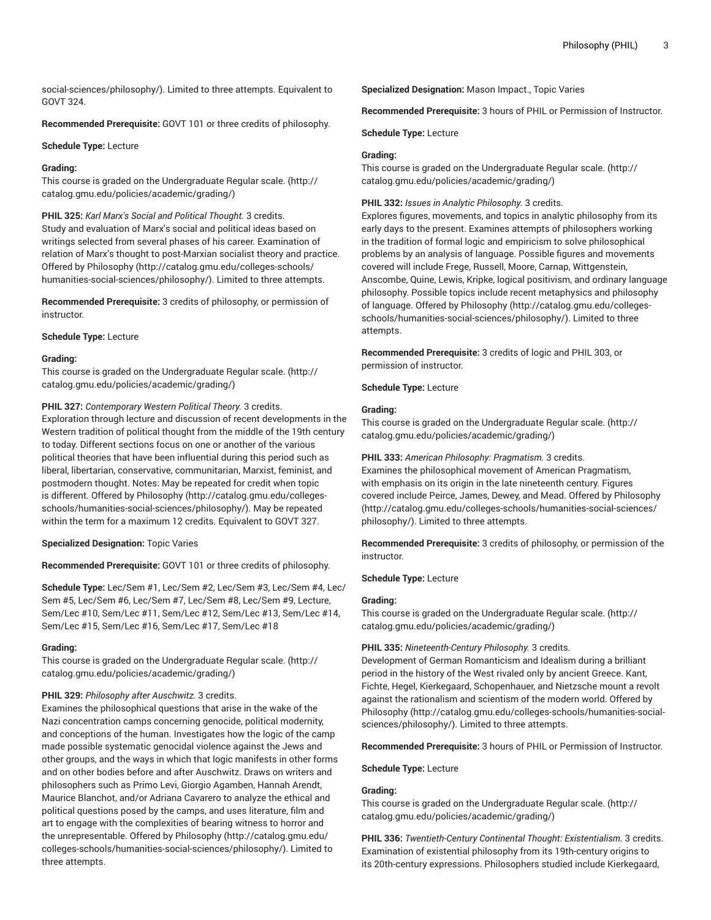[social-sciences/philosophy/](http://catalog.gmu.edu/colleges-schools/humanities-social-sciences/philosophy/)). Limited to three attempts. Equivalent to GOVT 324.

**Recommended Prerequisite:** GOVT 101 or three credits of philosophy.

# **Schedule Type:** Lecture

# **Grading:**

This course is graded on the [Undergraduate](http://catalog.gmu.edu/policies/academic/grading/) Regular scale. ([http://](http://catalog.gmu.edu/policies/academic/grading/) [catalog.gmu.edu/policies/academic/grading/\)](http://catalog.gmu.edu/policies/academic/grading/)

**PHIL 325:** *Karl Marx's Social and Political Thought.* 3 credits. Study and evaluation of Marx's social and political ideas based on writings selected from several phases of his career. Examination of relation of Marx's thought to post-Marxian socialist theory and practice. Offered by [Philosophy](http://catalog.gmu.edu/colleges-schools/humanities-social-sciences/philosophy/) ([http://catalog.gmu.edu/colleges-schools/](http://catalog.gmu.edu/colleges-schools/humanities-social-sciences/philosophy/) [humanities-social-sciences/philosophy/\)](http://catalog.gmu.edu/colleges-schools/humanities-social-sciences/philosophy/). Limited to three attempts.

**Recommended Prerequisite:** 3 credits of philosophy, or permission of instructor.

## **Schedule Type:** Lecture

# **Grading:**

This course is graded on the [Undergraduate](http://catalog.gmu.edu/policies/academic/grading/) Regular scale. ([http://](http://catalog.gmu.edu/policies/academic/grading/) [catalog.gmu.edu/policies/academic/grading/\)](http://catalog.gmu.edu/policies/academic/grading/)

# **PHIL 327:** *Contemporary Western Political Theory.* 3 credits.

Exploration through lecture and discussion of recent developments in the Western tradition of political thought from the middle of the 19th century to today. Different sections focus on one or another of the various political theories that have been influential during this period such as liberal, libertarian, conservative, communitarian, Marxist, feminist, and postmodern thought. Notes: May be repeated for credit when topic is different. Offered by [Philosophy \(http://catalog.gmu.edu/colleges](http://catalog.gmu.edu/colleges-schools/humanities-social-sciences/philosophy/)[schools/humanities-social-sciences/philosophy/](http://catalog.gmu.edu/colleges-schools/humanities-social-sciences/philosophy/)). May be repeated within the term for a maximum 12 credits. Equivalent to GOVT 327.

## **Specialized Designation:** Topic Varies

**Recommended Prerequisite:** GOVT 101 or three credits of philosophy.

**Schedule Type:** Lec/Sem #1, Lec/Sem #2, Lec/Sem #3, Lec/Sem #4, Lec/ Sem #5, Lec/Sem #6, Lec/Sem #7, Lec/Sem #8, Lec/Sem #9, Lecture, Sem/Lec #10, Sem/Lec #11, Sem/Lec #12, Sem/Lec #13, Sem/Lec #14, Sem/Lec #15, Sem/Lec #16, Sem/Lec #17, Sem/Lec #18

## **Grading:**

This course is graded on the [Undergraduate](http://catalog.gmu.edu/policies/academic/grading/) Regular scale. ([http://](http://catalog.gmu.edu/policies/academic/grading/) [catalog.gmu.edu/policies/academic/grading/\)](http://catalog.gmu.edu/policies/academic/grading/)

# **PHIL 329:** *Philosophy after Auschwitz.* 3 credits.

Examines the philosophical questions that arise in the wake of the Nazi concentration camps concerning genocide, political modernity, and conceptions of the human. Investigates how the logic of the camp made possible systematic genocidal violence against the Jews and other groups, and the ways in which that logic manifests in other forms and on other bodies before and after Auschwitz. Draws on writers and philosophers such as Primo Levi, Giorgio Agamben, Hannah Arendt, Maurice Blanchot, and/or Adriana Cavarero to analyze the ethical and political questions posed by the camps, and uses literature, film and art to engage with the complexities of bearing witness to horror and the unrepresentable. Offered by [Philosophy](http://catalog.gmu.edu/colleges-schools/humanities-social-sciences/philosophy/) ([http://catalog.gmu.edu/](http://catalog.gmu.edu/colleges-schools/humanities-social-sciences/philosophy/) [colleges-schools/humanities-social-sciences/philosophy/\)](http://catalog.gmu.edu/colleges-schools/humanities-social-sciences/philosophy/). Limited to three attempts.

**Specialized Designation:** Mason Impact., Topic Varies

**Recommended Prerequisite:** 3 hours of PHIL or Permission of Instructor.

**Schedule Type:** Lecture

# **Grading:**

This course is graded on the [Undergraduate](http://catalog.gmu.edu/policies/academic/grading/) Regular scale. ([http://](http://catalog.gmu.edu/policies/academic/grading/) [catalog.gmu.edu/policies/academic/grading/](http://catalog.gmu.edu/policies/academic/grading/))

# **PHIL 332:** *Issues in Analytic Philosophy.* 3 credits.

Explores figures, movements, and topics in analytic philosophy from its early days to the present. Examines attempts of philosophers working in the tradition of formal logic and empiricism to solve philosophical problems by an analysis of language. Possible figures and movements covered will include Frege, Russell, Moore, Carnap, Wittgenstein, Anscombe, Quine, Lewis, Kripke, logical positivism, and ordinary language philosophy. Possible topics include recent metaphysics and philosophy of language. Offered by [Philosophy](http://catalog.gmu.edu/colleges-schools/humanities-social-sciences/philosophy/) ([http://catalog.gmu.edu/colleges](http://catalog.gmu.edu/colleges-schools/humanities-social-sciences/philosophy/)[schools/humanities-social-sciences/philosophy/\)](http://catalog.gmu.edu/colleges-schools/humanities-social-sciences/philosophy/). Limited to three attempts.

**Recommended Prerequisite:** 3 credits of logic and PHIL 303, or permission of instructor.

**Schedule Type:** Lecture

# **Grading:**

This course is graded on the [Undergraduate](http://catalog.gmu.edu/policies/academic/grading/) Regular scale. ([http://](http://catalog.gmu.edu/policies/academic/grading/) [catalog.gmu.edu/policies/academic/grading/](http://catalog.gmu.edu/policies/academic/grading/))

## **PHIL 333:** *American Philosophy: Pragmatism.* 3 credits.

Examines the philosophical movement of American Pragmatism, with emphasis on its origin in the late nineteenth century. Figures covered include Peirce, James, Dewey, and Mead. Offered by [Philosophy](http://catalog.gmu.edu/colleges-schools/humanities-social-sciences/philosophy/) [\(http://catalog.gmu.edu/colleges-schools/humanities-social-sciences/](http://catalog.gmu.edu/colleges-schools/humanities-social-sciences/philosophy/) [philosophy/](http://catalog.gmu.edu/colleges-schools/humanities-social-sciences/philosophy/)). Limited to three attempts.

**Recommended Prerequisite:** 3 credits of philosophy, or permission of the instructor.

## **Schedule Type:** Lecture

# **Grading:**

This course is graded on the [Undergraduate](http://catalog.gmu.edu/policies/academic/grading/) Regular scale. ([http://](http://catalog.gmu.edu/policies/academic/grading/) [catalog.gmu.edu/policies/academic/grading/](http://catalog.gmu.edu/policies/academic/grading/))

## **PHIL 335:** *Nineteenth-Century Philosophy.* 3 credits.

Development of German Romanticism and Idealism during a brilliant period in the history of the West rivaled only by ancient Greece. Kant, Fichte, Hegel, Kierkegaard, Schopenhauer, and Nietzsche mount a revolt against the rationalism and scientism of the modern world. Offered by [Philosophy](http://catalog.gmu.edu/colleges-schools/humanities-social-sciences/philosophy/) [\(http://catalog.gmu.edu/colleges-schools/humanities-social](http://catalog.gmu.edu/colleges-schools/humanities-social-sciences/philosophy/)[sciences/philosophy/](http://catalog.gmu.edu/colleges-schools/humanities-social-sciences/philosophy/)). Limited to three attempts.

**Recommended Prerequisite:** 3 hours of PHIL or Permission of Instructor.

## **Schedule Type:** Lecture

## **Grading:**

This course is graded on the [Undergraduate](http://catalog.gmu.edu/policies/academic/grading/) Regular scale. ([http://](http://catalog.gmu.edu/policies/academic/grading/) [catalog.gmu.edu/policies/academic/grading/](http://catalog.gmu.edu/policies/academic/grading/))

**PHIL 336:** *Twentieth-Century Continental Thought: Existentialism.* 3 credits. Examination of existential philosophy from its 19th-century origins to its 20th-century expressions. Philosophers studied include Kierkegaard,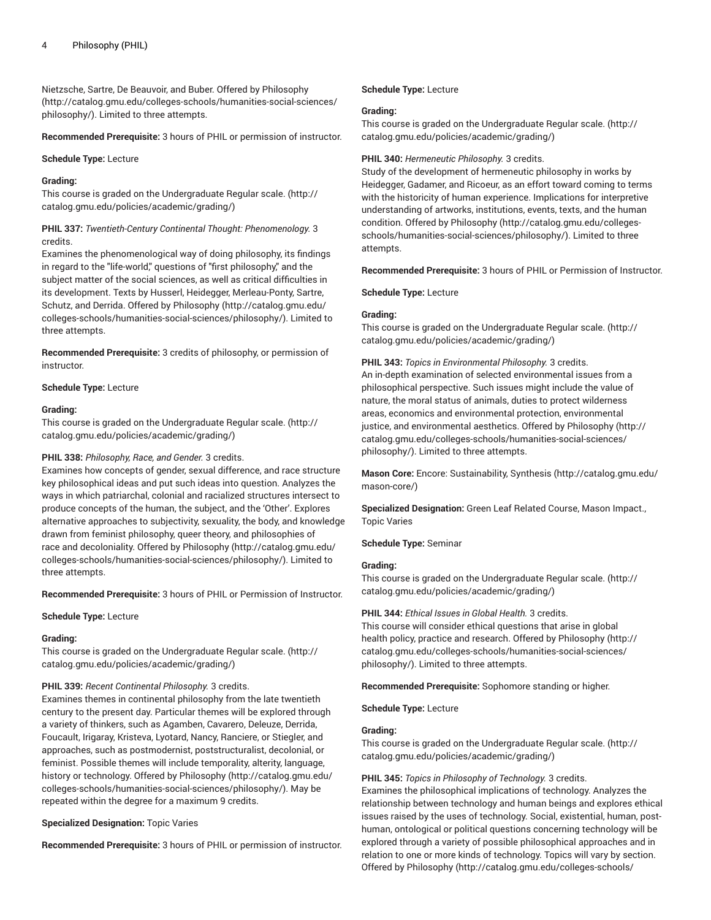Nietzsche, Sartre, De Beauvoir, and Buber. Offered by [Philosophy](http://catalog.gmu.edu/colleges-schools/humanities-social-sciences/philosophy/) ([http://catalog.gmu.edu/colleges-schools/humanities-social-sciences/](http://catalog.gmu.edu/colleges-schools/humanities-social-sciences/philosophy/) [philosophy/\)](http://catalog.gmu.edu/colleges-schools/humanities-social-sciences/philosophy/). Limited to three attempts.

**Recommended Prerequisite:** 3 hours of PHIL or permission of instructor.

#### **Schedule Type:** Lecture

#### **Grading:**

This course is graded on the [Undergraduate](http://catalog.gmu.edu/policies/academic/grading/) Regular scale. ([http://](http://catalog.gmu.edu/policies/academic/grading/) [catalog.gmu.edu/policies/academic/grading/\)](http://catalog.gmu.edu/policies/academic/grading/)

**PHIL 337:** *Twentieth-Century Continental Thought: Phenomenology.* 3 credits.

Examines the phenomenological way of doing philosophy, its findings in regard to the "life-world," questions of "first philosophy," and the subject matter of the social sciences, as well as critical difficulties in its development. Texts by Husserl, Heidegger, Merleau-Ponty, Sartre, Schutz, and Derrida. Offered by [Philosophy](http://catalog.gmu.edu/colleges-schools/humanities-social-sciences/philosophy/) ([http://catalog.gmu.edu/](http://catalog.gmu.edu/colleges-schools/humanities-social-sciences/philosophy/) [colleges-schools/humanities-social-sciences/philosophy/\)](http://catalog.gmu.edu/colleges-schools/humanities-social-sciences/philosophy/). Limited to three attempts.

**Recommended Prerequisite:** 3 credits of philosophy, or permission of instructor.

**Schedule Type:** Lecture

#### **Grading:**

This course is graded on the [Undergraduate](http://catalog.gmu.edu/policies/academic/grading/) Regular scale. ([http://](http://catalog.gmu.edu/policies/academic/grading/) [catalog.gmu.edu/policies/academic/grading/\)](http://catalog.gmu.edu/policies/academic/grading/)

# **PHIL 338:** *Philosophy, Race, and Gender.* 3 credits.

Examines how concepts of gender, sexual difference, and race structure key philosophical ideas and put such ideas into question. Analyzes the ways in which patriarchal, colonial and racialized structures intersect to produce concepts of the human, the subject, and the 'Other'. Explores alternative approaches to subjectivity, sexuality, the body, and knowledge drawn from feminist philosophy, queer theory, and philosophies of race and decoloniality. Offered by [Philosophy](http://catalog.gmu.edu/colleges-schools/humanities-social-sciences/philosophy/) [\(http://catalog.gmu.edu/](http://catalog.gmu.edu/colleges-schools/humanities-social-sciences/philosophy/) [colleges-schools/humanities-social-sciences/philosophy/\)](http://catalog.gmu.edu/colleges-schools/humanities-social-sciences/philosophy/). Limited to three attempts.

**Recommended Prerequisite:** 3 hours of PHIL or Permission of Instructor.

#### **Schedule Type:** Lecture

#### **Grading:**

This course is graded on the [Undergraduate](http://catalog.gmu.edu/policies/academic/grading/) Regular scale. ([http://](http://catalog.gmu.edu/policies/academic/grading/) [catalog.gmu.edu/policies/academic/grading/\)](http://catalog.gmu.edu/policies/academic/grading/)

#### **PHIL 339:** *Recent Continental Philosophy.* 3 credits.

Examines themes in continental philosophy from the late twentieth century to the present day. Particular themes will be explored through a variety of thinkers, such as Agamben, Cavarero, Deleuze, Derrida, Foucault, Irigaray, Kristeva, Lyotard, Nancy, Ranciere, or Stiegler, and approaches, such as postmodernist, poststructuralist, decolonial, or feminist. Possible themes will include temporality, alterity, language, history or technology. Offered by [Philosophy \(http://catalog.gmu.edu/](http://catalog.gmu.edu/colleges-schools/humanities-social-sciences/philosophy/) [colleges-schools/humanities-social-sciences/philosophy/\)](http://catalog.gmu.edu/colleges-schools/humanities-social-sciences/philosophy/). May be repeated within the degree for a maximum 9 credits.

#### **Specialized Designation:** Topic Varies

**Recommended Prerequisite:** 3 hours of PHIL or permission of instructor.

**Schedule Type:** Lecture

#### **Grading:**

This course is graded on the [Undergraduate](http://catalog.gmu.edu/policies/academic/grading/) Regular scale. ([http://](http://catalog.gmu.edu/policies/academic/grading/) [catalog.gmu.edu/policies/academic/grading/](http://catalog.gmu.edu/policies/academic/grading/))

#### **PHIL 340:** *Hermeneutic Philosophy.* 3 credits.

Study of the development of hermeneutic philosophy in works by Heidegger, Gadamer, and Ricoeur, as an effort toward coming to terms with the historicity of human experience. Implications for interpretive understanding of artworks, institutions, events, texts, and the human condition. Offered by [Philosophy](http://catalog.gmu.edu/colleges-schools/humanities-social-sciences/philosophy/) ([http://catalog.gmu.edu/colleges](http://catalog.gmu.edu/colleges-schools/humanities-social-sciences/philosophy/)[schools/humanities-social-sciences/philosophy/\)](http://catalog.gmu.edu/colleges-schools/humanities-social-sciences/philosophy/). Limited to three attempts.

**Recommended Prerequisite:** 3 hours of PHIL or Permission of Instructor.

**Schedule Type:** Lecture

#### **Grading:**

This course is graded on the [Undergraduate](http://catalog.gmu.edu/policies/academic/grading/) Regular scale. ([http://](http://catalog.gmu.edu/policies/academic/grading/) [catalog.gmu.edu/policies/academic/grading/](http://catalog.gmu.edu/policies/academic/grading/))

**PHIL 343:** *Topics in Environmental Philosophy.* 3 credits. An in-depth examination of selected environmental issues from a philosophical perspective. Such issues might include the value of nature, the moral status of animals, duties to protect wilderness areas, economics and environmental protection, environmental justice, and environmental aesthetics. Offered by [Philosophy \(http://](http://catalog.gmu.edu/colleges-schools/humanities-social-sciences/philosophy/) [catalog.gmu.edu/colleges-schools/humanities-social-sciences/](http://catalog.gmu.edu/colleges-schools/humanities-social-sciences/philosophy/) [philosophy/](http://catalog.gmu.edu/colleges-schools/humanities-social-sciences/philosophy/)). Limited to three attempts.

**Mason Core:** Encore: [Sustainability,](http://catalog.gmu.edu/mason-core/) Synthesis ([http://catalog.gmu.edu/](http://catalog.gmu.edu/mason-core/) [mason-core/](http://catalog.gmu.edu/mason-core/))

**Specialized Designation:** Green Leaf Related Course, Mason Impact., Topic Varies

#### **Schedule Type:** Seminar

#### **Grading:**

This course is graded on the [Undergraduate](http://catalog.gmu.edu/policies/academic/grading/) Regular scale. ([http://](http://catalog.gmu.edu/policies/academic/grading/) [catalog.gmu.edu/policies/academic/grading/](http://catalog.gmu.edu/policies/academic/grading/))

#### **PHIL 344:** *Ethical Issues in Global Health.* 3 credits.

This course will consider ethical questions that arise in global health policy, practice and research. Offered by [Philosophy](http://catalog.gmu.edu/colleges-schools/humanities-social-sciences/philosophy/) ([http://](http://catalog.gmu.edu/colleges-schools/humanities-social-sciences/philosophy/) [catalog.gmu.edu/colleges-schools/humanities-social-sciences/](http://catalog.gmu.edu/colleges-schools/humanities-social-sciences/philosophy/) [philosophy/](http://catalog.gmu.edu/colleges-schools/humanities-social-sciences/philosophy/)). Limited to three attempts.

**Recommended Prerequisite:** Sophomore standing or higher.

**Schedule Type:** Lecture

# **Grading:**

This course is graded on the [Undergraduate](http://catalog.gmu.edu/policies/academic/grading/) Regular scale. ([http://](http://catalog.gmu.edu/policies/academic/grading/) [catalog.gmu.edu/policies/academic/grading/](http://catalog.gmu.edu/policies/academic/grading/))

#### **PHIL 345:** *Topics in Philosophy of Technology.* 3 credits.

Examines the philosophical implications of technology. Analyzes the relationship between technology and human beings and explores ethical issues raised by the uses of technology. Social, existential, human, posthuman, ontological or political questions concerning technology will be explored through a variety of possible philosophical approaches and in relation to one or more kinds of technology. Topics will vary by section. Offered by [Philosophy](http://catalog.gmu.edu/colleges-schools/humanities-social-sciences/philosophy/) [\(http://catalog.gmu.edu/colleges-schools/](http://catalog.gmu.edu/colleges-schools/humanities-social-sciences/philosophy/)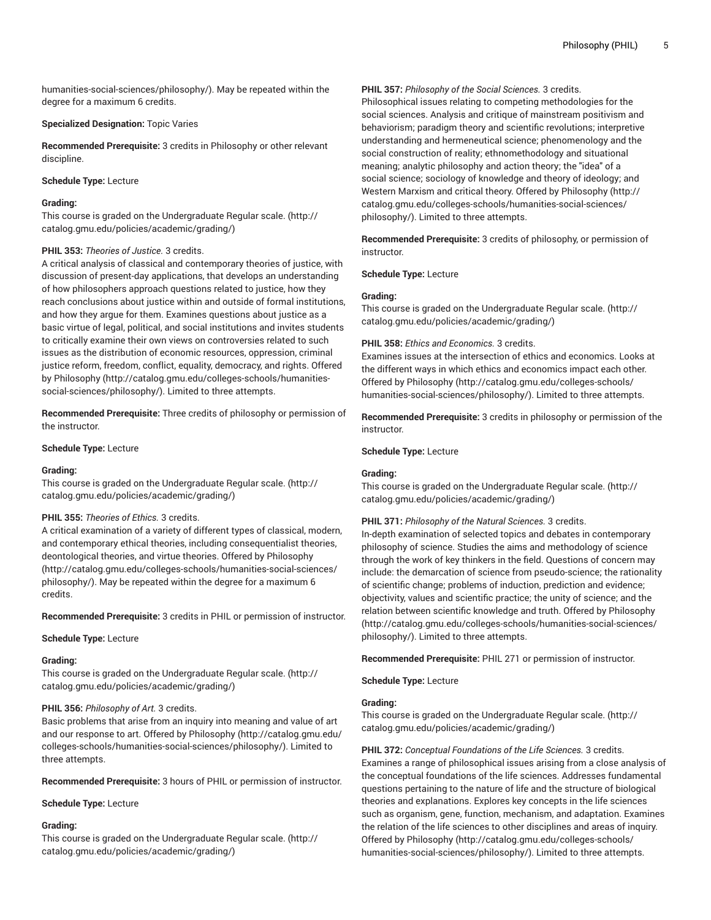[humanities-social-sciences/philosophy/\)](http://catalog.gmu.edu/colleges-schools/humanities-social-sciences/philosophy/). May be repeated within the degree for a maximum 6 credits.

## **Specialized Designation:** Topic Varies

**Recommended Prerequisite:** 3 credits in Philosophy or other relevant discipline.

#### **Schedule Type:** Lecture

#### **Grading:**

This course is graded on the [Undergraduate](http://catalog.gmu.edu/policies/academic/grading/) Regular scale. ([http://](http://catalog.gmu.edu/policies/academic/grading/) [catalog.gmu.edu/policies/academic/grading/\)](http://catalog.gmu.edu/policies/academic/grading/)

## **PHIL 353:** *Theories of Justice.* 3 credits.

A critical analysis of classical and contemporary theories of justice, with discussion of present-day applications, that develops an understanding of how philosophers approach questions related to justice, how they reach conclusions about justice within and outside of formal institutions, and how they argue for them. Examines questions about justice as a basic virtue of legal, political, and social institutions and invites students to critically examine their own views on controversies related to such issues as the distribution of economic resources, oppression, criminal justice reform, freedom, conflict, equality, democracy, and rights. Offered by [Philosophy \(http://catalog.gmu.edu/colleges-schools/humanities](http://catalog.gmu.edu/colleges-schools/humanities-social-sciences/philosophy/)[social-sciences/philosophy/](http://catalog.gmu.edu/colleges-schools/humanities-social-sciences/philosophy/)). Limited to three attempts.

**Recommended Prerequisite:** Three credits of philosophy or permission of the instructor.

#### **Schedule Type:** Lecture

## **Grading:**

This course is graded on the [Undergraduate](http://catalog.gmu.edu/policies/academic/grading/) Regular scale. ([http://](http://catalog.gmu.edu/policies/academic/grading/) [catalog.gmu.edu/policies/academic/grading/\)](http://catalog.gmu.edu/policies/academic/grading/)

## **PHIL 355:** *Theories of Ethics.* 3 credits.

A critical examination of a variety of different types of classical, modern, and contemporary ethical theories, including consequentialist theories, deontological theories, and virtue theories. Offered by [Philosophy](http://catalog.gmu.edu/colleges-schools/humanities-social-sciences/philosophy/) ([http://catalog.gmu.edu/colleges-schools/humanities-social-sciences/](http://catalog.gmu.edu/colleges-schools/humanities-social-sciences/philosophy/) [philosophy/\)](http://catalog.gmu.edu/colleges-schools/humanities-social-sciences/philosophy/). May be repeated within the degree for a maximum 6 credits.

**Recommended Prerequisite:** 3 credits in PHIL or permission of instructor.

**Schedule Type:** Lecture

#### **Grading:**

This course is graded on the [Undergraduate](http://catalog.gmu.edu/policies/academic/grading/) Regular scale. ([http://](http://catalog.gmu.edu/policies/academic/grading/) [catalog.gmu.edu/policies/academic/grading/\)](http://catalog.gmu.edu/policies/academic/grading/)

#### **PHIL 356:** *Philosophy of Art.* 3 credits.

Basic problems that arise from an inquiry into meaning and value of art and our response to art. Offered by [Philosophy \(http://catalog.gmu.edu/](http://catalog.gmu.edu/colleges-schools/humanities-social-sciences/philosophy/) [colleges-schools/humanities-social-sciences/philosophy/\)](http://catalog.gmu.edu/colleges-schools/humanities-social-sciences/philosophy/). Limited to three attempts.

**Recommended Prerequisite:** 3 hours of PHIL or permission of instructor.

#### **Schedule Type:** Lecture

#### **Grading:**

This course is graded on the [Undergraduate](http://catalog.gmu.edu/policies/academic/grading/) Regular scale. ([http://](http://catalog.gmu.edu/policies/academic/grading/) [catalog.gmu.edu/policies/academic/grading/\)](http://catalog.gmu.edu/policies/academic/grading/)

#### **PHIL 357:** *Philosophy of the Social Sciences.* 3 credits.

Philosophical issues relating to competing methodologies for the social sciences. Analysis and critique of mainstream positivism and behaviorism; paradigm theory and scientific revolutions; interpretive understanding and hermeneutical science; phenomenology and the social construction of reality; ethnomethodology and situational meaning; analytic philosophy and action theory; the "idea" of a social science; sociology of knowledge and theory of ideology; and Western Marxism and critical theory. Offered by [Philosophy \(http://](http://catalog.gmu.edu/colleges-schools/humanities-social-sciences/philosophy/) [catalog.gmu.edu/colleges-schools/humanities-social-sciences/](http://catalog.gmu.edu/colleges-schools/humanities-social-sciences/philosophy/) [philosophy/](http://catalog.gmu.edu/colleges-schools/humanities-social-sciences/philosophy/)). Limited to three attempts.

**Recommended Prerequisite:** 3 credits of philosophy, or permission of instructor.

**Schedule Type:** Lecture

#### **Grading:**

This course is graded on the [Undergraduate](http://catalog.gmu.edu/policies/academic/grading/) Regular scale. ([http://](http://catalog.gmu.edu/policies/academic/grading/) [catalog.gmu.edu/policies/academic/grading/](http://catalog.gmu.edu/policies/academic/grading/))

## **PHIL 358:** *Ethics and Economics.* 3 credits.

Examines issues at the intersection of ethics and economics. Looks at the different ways in which ethics and economics impact each other. Offered by [Philosophy](http://catalog.gmu.edu/colleges-schools/humanities-social-sciences/philosophy/) [\(http://catalog.gmu.edu/colleges-schools/](http://catalog.gmu.edu/colleges-schools/humanities-social-sciences/philosophy/) [humanities-social-sciences/philosophy/](http://catalog.gmu.edu/colleges-schools/humanities-social-sciences/philosophy/)). Limited to three attempts.

**Recommended Prerequisite:** 3 credits in philosophy or permission of the instructor.

#### **Schedule Type:** Lecture

#### **Grading:**

This course is graded on the [Undergraduate](http://catalog.gmu.edu/policies/academic/grading/) Regular scale. ([http://](http://catalog.gmu.edu/policies/academic/grading/) [catalog.gmu.edu/policies/academic/grading/](http://catalog.gmu.edu/policies/academic/grading/))

#### **PHIL 371:** *Philosophy of the Natural Sciences.* 3 credits.

In-depth examination of selected topics and debates in contemporary philosophy of science. Studies the aims and methodology of science through the work of key thinkers in the field. Questions of concern may include: the demarcation of science from pseudo-science; the rationality of scientific change; problems of induction, prediction and evidence; objectivity, values and scientific practice; the unity of science; and the relation between scientific knowledge and truth. Offered by [Philosophy](http://catalog.gmu.edu/colleges-schools/humanities-social-sciences/philosophy/) [\(http://catalog.gmu.edu/colleges-schools/humanities-social-sciences/](http://catalog.gmu.edu/colleges-schools/humanities-social-sciences/philosophy/) [philosophy/](http://catalog.gmu.edu/colleges-schools/humanities-social-sciences/philosophy/)). Limited to three attempts.

**Recommended Prerequisite:** PHIL 271 or permission of instructor.

**Schedule Type:** Lecture

#### **Grading:**

This course is graded on the [Undergraduate](http://catalog.gmu.edu/policies/academic/grading/) Regular scale. ([http://](http://catalog.gmu.edu/policies/academic/grading/) [catalog.gmu.edu/policies/academic/grading/](http://catalog.gmu.edu/policies/academic/grading/))

**PHIL 372:** *Conceptual Foundations of the Life Sciences.* 3 credits. Examines a range of philosophical issues arising from a close analysis of the conceptual foundations of the life sciences. Addresses fundamental questions pertaining to the nature of life and the structure of biological theories and explanations. Explores key concepts in the life sciences such as organism, gene, function, mechanism, and adaptation. Examines the relation of the life sciences to other disciplines and areas of inquiry. Offered by [Philosophy](http://catalog.gmu.edu/colleges-schools/humanities-social-sciences/philosophy/) [\(http://catalog.gmu.edu/colleges-schools/](http://catalog.gmu.edu/colleges-schools/humanities-social-sciences/philosophy/) [humanities-social-sciences/philosophy/](http://catalog.gmu.edu/colleges-schools/humanities-social-sciences/philosophy/)). Limited to three attempts.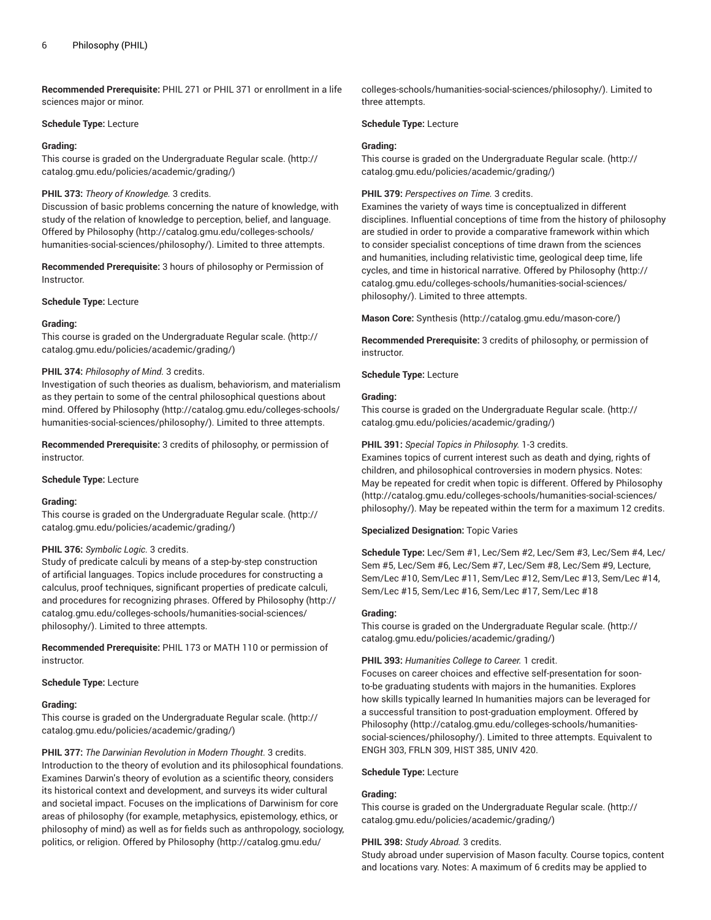**Recommended Prerequisite:** PHIL 271 or PHIL 371 or enrollment in a life sciences major or minor.

#### **Schedule Type:** Lecture

## **Grading:**

This course is graded on the [Undergraduate](http://catalog.gmu.edu/policies/academic/grading/) Regular scale. ([http://](http://catalog.gmu.edu/policies/academic/grading/) [catalog.gmu.edu/policies/academic/grading/\)](http://catalog.gmu.edu/policies/academic/grading/)

## **PHIL 373:** *Theory of Knowledge.* 3 credits.

Discussion of basic problems concerning the nature of knowledge, with study of the relation of knowledge to perception, belief, and language. Offered by [Philosophy](http://catalog.gmu.edu/colleges-schools/humanities-social-sciences/philosophy/) ([http://catalog.gmu.edu/colleges-schools/](http://catalog.gmu.edu/colleges-schools/humanities-social-sciences/philosophy/) [humanities-social-sciences/philosophy/\)](http://catalog.gmu.edu/colleges-schools/humanities-social-sciences/philosophy/). Limited to three attempts.

**Recommended Prerequisite:** 3 hours of philosophy or Permission of Instructor.

**Schedule Type:** Lecture

## **Grading:**

This course is graded on the [Undergraduate](http://catalog.gmu.edu/policies/academic/grading/) Regular scale. ([http://](http://catalog.gmu.edu/policies/academic/grading/) [catalog.gmu.edu/policies/academic/grading/\)](http://catalog.gmu.edu/policies/academic/grading/)

# **PHIL 374:** *Philosophy of Mind.* 3 credits.

Investigation of such theories as dualism, behaviorism, and materialism as they pertain to some of the central philosophical questions about mind. Offered by [Philosophy](http://catalog.gmu.edu/colleges-schools/humanities-social-sciences/philosophy/) ([http://catalog.gmu.edu/colleges-schools/](http://catalog.gmu.edu/colleges-schools/humanities-social-sciences/philosophy/) [humanities-social-sciences/philosophy/\)](http://catalog.gmu.edu/colleges-schools/humanities-social-sciences/philosophy/). Limited to three attempts.

**Recommended Prerequisite:** 3 credits of philosophy, or permission of instructor.

## **Schedule Type:** Lecture

## **Grading:**

This course is graded on the [Undergraduate](http://catalog.gmu.edu/policies/academic/grading/) Regular scale. ([http://](http://catalog.gmu.edu/policies/academic/grading/) [catalog.gmu.edu/policies/academic/grading/\)](http://catalog.gmu.edu/policies/academic/grading/)

# **PHIL 376:** *Symbolic Logic.* 3 credits.

Study of predicate calculi by means of a step-by-step construction of artificial languages. Topics include procedures for constructing a calculus, proof techniques, significant properties of predicate calculi, and procedures for recognizing phrases. Offered by [Philosophy \(http://](http://catalog.gmu.edu/colleges-schools/humanities-social-sciences/philosophy/) [catalog.gmu.edu/colleges-schools/humanities-social-sciences/](http://catalog.gmu.edu/colleges-schools/humanities-social-sciences/philosophy/) [philosophy/\)](http://catalog.gmu.edu/colleges-schools/humanities-social-sciences/philosophy/). Limited to three attempts.

**Recommended Prerequisite:** PHIL 173 or MATH 110 or permission of instructor.

## **Schedule Type:** Lecture

## **Grading:**

This course is graded on the [Undergraduate](http://catalog.gmu.edu/policies/academic/grading/) Regular scale. ([http://](http://catalog.gmu.edu/policies/academic/grading/) [catalog.gmu.edu/policies/academic/grading/\)](http://catalog.gmu.edu/policies/academic/grading/)

**PHIL 377:** *The Darwinian Revolution in Modern Thought.* 3 credits. Introduction to the theory of evolution and its philosophical foundations. Examines Darwin's theory of evolution as a scientific theory, considers its historical context and development, and surveys its wider cultural and societal impact. Focuses on the implications of Darwinism for core areas of philosophy (for example, metaphysics, epistemology, ethics, or philosophy of mind) as well as for fields such as anthropology, sociology, politics, or religion. Offered by [Philosophy \(http://catalog.gmu.edu/](http://catalog.gmu.edu/colleges-schools/humanities-social-sciences/philosophy/)

[colleges-schools/humanities-social-sciences/philosophy/\)](http://catalog.gmu.edu/colleges-schools/humanities-social-sciences/philosophy/). Limited to three attempts.

#### **Schedule Type:** Lecture

#### **Grading:**

This course is graded on the [Undergraduate](http://catalog.gmu.edu/policies/academic/grading/) Regular scale. ([http://](http://catalog.gmu.edu/policies/academic/grading/) [catalog.gmu.edu/policies/academic/grading/](http://catalog.gmu.edu/policies/academic/grading/))

## **PHIL 379:** *Perspectives on Time.* 3 credits.

Examines the variety of ways time is conceptualized in different disciplines. Influential conceptions of time from the history of philosophy are studied in order to provide a comparative framework within which to consider specialist conceptions of time drawn from the sciences and humanities, including relativistic time, geological deep time, life cycles, and time in historical narrative. Offered by [Philosophy](http://catalog.gmu.edu/colleges-schools/humanities-social-sciences/philosophy/) ([http://](http://catalog.gmu.edu/colleges-schools/humanities-social-sciences/philosophy/) [catalog.gmu.edu/colleges-schools/humanities-social-sciences/](http://catalog.gmu.edu/colleges-schools/humanities-social-sciences/philosophy/) [philosophy/](http://catalog.gmu.edu/colleges-schools/humanities-social-sciences/philosophy/)). Limited to three attempts.

**Mason Core:** [Synthesis](http://catalog.gmu.edu/mason-core/) ([http://catalog.gmu.edu/mason-core/\)](http://catalog.gmu.edu/mason-core/)

**Recommended Prerequisite:** 3 credits of philosophy, or permission of instructor.

#### **Schedule Type:** Lecture

#### **Grading:**

This course is graded on the [Undergraduate](http://catalog.gmu.edu/policies/academic/grading/) Regular scale. ([http://](http://catalog.gmu.edu/policies/academic/grading/) [catalog.gmu.edu/policies/academic/grading/](http://catalog.gmu.edu/policies/academic/grading/))

#### **PHIL 391:** *Special Topics in Philosophy.* 1-3 credits.

Examines topics of current interest such as death and dying, rights of children, and philosophical controversies in modern physics. Notes: May be repeated for credit when topic is different. Offered by [Philosophy](http://catalog.gmu.edu/colleges-schools/humanities-social-sciences/philosophy/) [\(http://catalog.gmu.edu/colleges-schools/humanities-social-sciences/](http://catalog.gmu.edu/colleges-schools/humanities-social-sciences/philosophy/) [philosophy/](http://catalog.gmu.edu/colleges-schools/humanities-social-sciences/philosophy/)). May be repeated within the term for a maximum 12 credits.

## **Specialized Designation:** Topic Varies

**Schedule Type:** Lec/Sem #1, Lec/Sem #2, Lec/Sem #3, Lec/Sem #4, Lec/ Sem #5, Lec/Sem #6, Lec/Sem #7, Lec/Sem #8, Lec/Sem #9, Lecture, Sem/Lec #10, Sem/Lec #11, Sem/Lec #12, Sem/Lec #13, Sem/Lec #14, Sem/Lec #15, Sem/Lec #16, Sem/Lec #17, Sem/Lec #18

#### **Grading:**

This course is graded on the [Undergraduate](http://catalog.gmu.edu/policies/academic/grading/) Regular scale. ([http://](http://catalog.gmu.edu/policies/academic/grading/) [catalog.gmu.edu/policies/academic/grading/](http://catalog.gmu.edu/policies/academic/grading/))

## **PHIL 393:** *Humanities College to Career.* 1 credit.

Focuses on career choices and effective self-presentation for soonto-be graduating students with majors in the humanities. Explores how skills typically learned In humanities majors can be leveraged for a successful transition to post-graduation employment. Offered by [Philosophy](http://catalog.gmu.edu/colleges-schools/humanities-social-sciences/philosophy/) [\(http://catalog.gmu.edu/colleges-schools/humanities](http://catalog.gmu.edu/colleges-schools/humanities-social-sciences/philosophy/)[social-sciences/philosophy/\)](http://catalog.gmu.edu/colleges-schools/humanities-social-sciences/philosophy/). Limited to three attempts. Equivalent to ENGH 303, FRLN 309, HIST 385, UNIV 420.

#### **Schedule Type:** Lecture

#### **Grading:**

This course is graded on the [Undergraduate](http://catalog.gmu.edu/policies/academic/grading/) Regular scale. ([http://](http://catalog.gmu.edu/policies/academic/grading/) [catalog.gmu.edu/policies/academic/grading/](http://catalog.gmu.edu/policies/academic/grading/))

#### **PHIL 398:** *Study Abroad.* 3 credits.

Study abroad under supervision of Mason faculty. Course topics, content and locations vary. Notes: A maximum of 6 credits may be applied to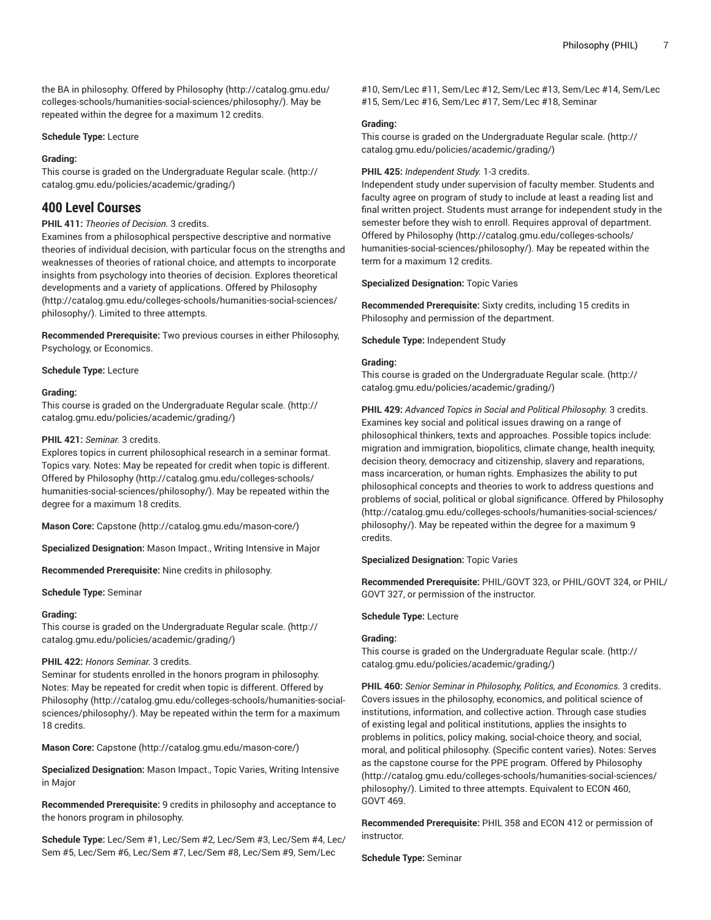the BA in philosophy. Offered by [Philosophy](http://catalog.gmu.edu/colleges-schools/humanities-social-sciences/philosophy/) ([http://catalog.gmu.edu/](http://catalog.gmu.edu/colleges-schools/humanities-social-sciences/philosophy/) [colleges-schools/humanities-social-sciences/philosophy/\)](http://catalog.gmu.edu/colleges-schools/humanities-social-sciences/philosophy/). May be repeated within the degree for a maximum 12 credits.

## **Schedule Type:** Lecture

## **Grading:**

This course is graded on the [Undergraduate](http://catalog.gmu.edu/policies/academic/grading/) Regular scale. ([http://](http://catalog.gmu.edu/policies/academic/grading/) [catalog.gmu.edu/policies/academic/grading/\)](http://catalog.gmu.edu/policies/academic/grading/)

# **400 Level Courses**

# **PHIL 411:** *Theories of Decision.* 3 credits.

Examines from a philosophical perspective descriptive and normative theories of individual decision, with particular focus on the strengths and weaknesses of theories of rational choice, and attempts to incorporate insights from psychology into theories of decision. Explores theoretical developments and a variety of applications. Offered by [Philosophy](http://catalog.gmu.edu/colleges-schools/humanities-social-sciences/philosophy/) ([http://catalog.gmu.edu/colleges-schools/humanities-social-sciences/](http://catalog.gmu.edu/colleges-schools/humanities-social-sciences/philosophy/) [philosophy/\)](http://catalog.gmu.edu/colleges-schools/humanities-social-sciences/philosophy/). Limited to three attempts.

**Recommended Prerequisite:** Two previous courses in either Philosophy, Psychology, or Economics.

#### **Schedule Type:** Lecture

#### **Grading:**

This course is graded on the [Undergraduate](http://catalog.gmu.edu/policies/academic/grading/) Regular scale. ([http://](http://catalog.gmu.edu/policies/academic/grading/) [catalog.gmu.edu/policies/academic/grading/\)](http://catalog.gmu.edu/policies/academic/grading/)

#### **PHIL 421:** *Seminar.* 3 credits.

Explores topics in current philosophical research in a seminar format. Topics vary. Notes: May be repeated for credit when topic is different. Offered by [Philosophy](http://catalog.gmu.edu/colleges-schools/humanities-social-sciences/philosophy/) ([http://catalog.gmu.edu/colleges-schools/](http://catalog.gmu.edu/colleges-schools/humanities-social-sciences/philosophy/) [humanities-social-sciences/philosophy/\)](http://catalog.gmu.edu/colleges-schools/humanities-social-sciences/philosophy/). May be repeated within the degree for a maximum 18 credits.

**Mason Core:** [Capstone \(http://catalog.gmu.edu/mason-core/](http://catalog.gmu.edu/mason-core/))

**Specialized Designation:** Mason Impact., Writing Intensive in Major

**Recommended Prerequisite:** Nine credits in philosophy.

**Schedule Type:** Seminar

#### **Grading:**

This course is graded on the [Undergraduate](http://catalog.gmu.edu/policies/academic/grading/) Regular scale. ([http://](http://catalog.gmu.edu/policies/academic/grading/) [catalog.gmu.edu/policies/academic/grading/\)](http://catalog.gmu.edu/policies/academic/grading/)

#### **PHIL 422:** *Honors Seminar.* 3 credits.

Seminar for students enrolled in the honors program in philosophy. Notes: May be repeated for credit when topic is different. Offered by [Philosophy](http://catalog.gmu.edu/colleges-schools/humanities-social-sciences/philosophy/) ([http://catalog.gmu.edu/colleges-schools/humanities-social](http://catalog.gmu.edu/colleges-schools/humanities-social-sciences/philosophy/)[sciences/philosophy/\)](http://catalog.gmu.edu/colleges-schools/humanities-social-sciences/philosophy/). May be repeated within the term for a maximum 18 credits.

**Mason Core:** [Capstone \(http://catalog.gmu.edu/mason-core/](http://catalog.gmu.edu/mason-core/))

**Specialized Designation:** Mason Impact., Topic Varies, Writing Intensive in Major

**Recommended Prerequisite:** 9 credits in philosophy and acceptance to the honors program in philosophy.

**Schedule Type:** Lec/Sem #1, Lec/Sem #2, Lec/Sem #3, Lec/Sem #4, Lec/ Sem #5, Lec/Sem #6, Lec/Sem #7, Lec/Sem #8, Lec/Sem #9, Sem/Lec

#10, Sem/Lec #11, Sem/Lec #12, Sem/Lec #13, Sem/Lec #14, Sem/Lec #15, Sem/Lec #16, Sem/Lec #17, Sem/Lec #18, Seminar

#### **Grading:**

This course is graded on the [Undergraduate](http://catalog.gmu.edu/policies/academic/grading/) Regular scale. ([http://](http://catalog.gmu.edu/policies/academic/grading/) [catalog.gmu.edu/policies/academic/grading/](http://catalog.gmu.edu/policies/academic/grading/))

# **PHIL 425:** *Independent Study.* 1-3 credits.

Independent study under supervision of faculty member. Students and faculty agree on program of study to include at least a reading list and final written project. Students must arrange for independent study in the semester before they wish to enroll. Requires approval of department. Offered by [Philosophy](http://catalog.gmu.edu/colleges-schools/humanities-social-sciences/philosophy/) [\(http://catalog.gmu.edu/colleges-schools/](http://catalog.gmu.edu/colleges-schools/humanities-social-sciences/philosophy/) [humanities-social-sciences/philosophy/](http://catalog.gmu.edu/colleges-schools/humanities-social-sciences/philosophy/)). May be repeated within the term for a maximum 12 credits.

**Specialized Designation:** Topic Varies

**Recommended Prerequisite:** Sixty credits, including 15 credits in Philosophy and permission of the department.

**Schedule Type:** Independent Study

#### **Grading:**

This course is graded on the [Undergraduate](http://catalog.gmu.edu/policies/academic/grading/) Regular scale. ([http://](http://catalog.gmu.edu/policies/academic/grading/) [catalog.gmu.edu/policies/academic/grading/](http://catalog.gmu.edu/policies/academic/grading/))

**PHIL 429:** *Advanced Topics in Social and Political Philosophy.* 3 credits. Examines key social and political issues drawing on a range of philosophical thinkers, texts and approaches. Possible topics include: migration and immigration, biopolitics, climate change, health inequity, decision theory, democracy and citizenship, slavery and reparations, mass incarceration, or human rights. Emphasizes the ability to put philosophical concepts and theories to work to address questions and problems of social, political or global significance. Offered by [Philosophy](http://catalog.gmu.edu/colleges-schools/humanities-social-sciences/philosophy/) [\(http://catalog.gmu.edu/colleges-schools/humanities-social-sciences/](http://catalog.gmu.edu/colleges-schools/humanities-social-sciences/philosophy/) [philosophy/](http://catalog.gmu.edu/colleges-schools/humanities-social-sciences/philosophy/)). May be repeated within the degree for a maximum 9 credits.

#### **Specialized Designation:** Topic Varies

**Recommended Prerequisite:** PHIL/GOVT 323, or PHIL/GOVT 324, or PHIL/ GOVT 327, or permission of the instructor.

#### **Schedule Type:** Lecture

# **Grading:**

This course is graded on the [Undergraduate](http://catalog.gmu.edu/policies/academic/grading/) Regular scale. ([http://](http://catalog.gmu.edu/policies/academic/grading/) [catalog.gmu.edu/policies/academic/grading/](http://catalog.gmu.edu/policies/academic/grading/))

**PHIL 460:** *Senior Seminar in Philosophy, Politics, and Economics.* 3 credits. Covers issues in the philosophy, economics, and political science of institutions, information, and collective action. Through case studies of existing legal and political institutions, applies the insights to problems in politics, policy making, social-choice theory, and social, moral, and political philosophy. (Specific content varies). Notes: Serves as the capstone course for the PPE program. Offered by [Philosophy](http://catalog.gmu.edu/colleges-schools/humanities-social-sciences/philosophy/) [\(http://catalog.gmu.edu/colleges-schools/humanities-social-sciences/](http://catalog.gmu.edu/colleges-schools/humanities-social-sciences/philosophy/) [philosophy/](http://catalog.gmu.edu/colleges-schools/humanities-social-sciences/philosophy/)). Limited to three attempts. Equivalent to ECON 460, GOVT 469.

**Recommended Prerequisite:** PHIL 358 and ECON 412 or permission of instructor.

**Schedule Type:** Seminar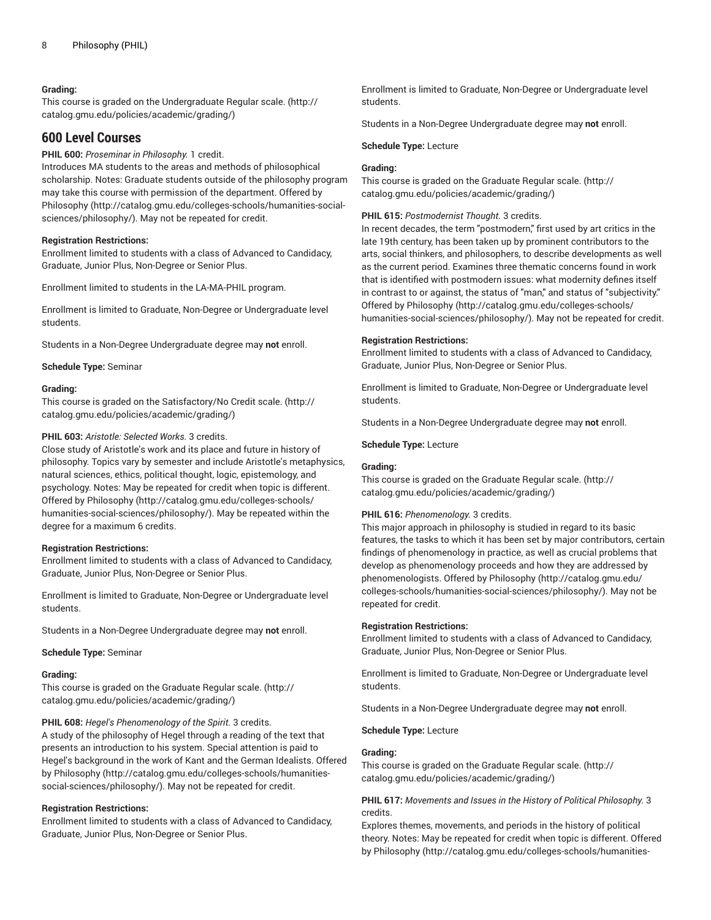# **Grading:**

This course is graded on the [Undergraduate](http://catalog.gmu.edu/policies/academic/grading/) Regular scale. ([http://](http://catalog.gmu.edu/policies/academic/grading/) [catalog.gmu.edu/policies/academic/grading/\)](http://catalog.gmu.edu/policies/academic/grading/)

# **600 Level Courses**

**PHIL 600:** *Proseminar in Philosophy.* 1 credit.

Introduces MA students to the areas and methods of philosophical scholarship. Notes: Graduate students outside of the philosophy program may take this course with permission of the department. Offered by [Philosophy](http://catalog.gmu.edu/colleges-schools/humanities-social-sciences/philosophy/) ([http://catalog.gmu.edu/colleges-schools/humanities-social](http://catalog.gmu.edu/colleges-schools/humanities-social-sciences/philosophy/)[sciences/philosophy/\)](http://catalog.gmu.edu/colleges-schools/humanities-social-sciences/philosophy/). May not be repeated for credit.

## **Registration Restrictions:**

Enrollment limited to students with a class of Advanced to Candidacy, Graduate, Junior Plus, Non-Degree or Senior Plus.

Enrollment limited to students in the LA-MA-PHIL program.

Enrollment is limited to Graduate, Non-Degree or Undergraduate level students.

Students in a Non-Degree Undergraduate degree may **not** enroll.

**Schedule Type:** Seminar

## **Grading:**

This course is graded on the [Satisfactory/No](http://catalog.gmu.edu/policies/academic/grading/) Credit scale. ([http://](http://catalog.gmu.edu/policies/academic/grading/) [catalog.gmu.edu/policies/academic/grading/\)](http://catalog.gmu.edu/policies/academic/grading/)

#### **PHIL 603:** *Aristotle: Selected Works.* 3 credits.

Close study of Aristotle's work and its place and future in history of philosophy. Topics vary by semester and include Aristotle's metaphysics, natural sciences, ethics, political thought, logic, epistemology, and psychology. Notes: May be repeated for credit when topic is different. Offered by [Philosophy](http://catalog.gmu.edu/colleges-schools/humanities-social-sciences/philosophy/) ([http://catalog.gmu.edu/colleges-schools/](http://catalog.gmu.edu/colleges-schools/humanities-social-sciences/philosophy/) [humanities-social-sciences/philosophy/\)](http://catalog.gmu.edu/colleges-schools/humanities-social-sciences/philosophy/). May be repeated within the degree for a maximum 6 credits.

#### **Registration Restrictions:**

Enrollment limited to students with a class of Advanced to Candidacy, Graduate, Junior Plus, Non-Degree or Senior Plus.

Enrollment is limited to Graduate, Non-Degree or Undergraduate level students.

Students in a Non-Degree Undergraduate degree may **not** enroll.

#### **Schedule Type:** Seminar

#### **Grading:**

This course is graded on the [Graduate Regular scale.](http://catalog.gmu.edu/policies/academic/grading/) [\(http://](http://catalog.gmu.edu/policies/academic/grading/) [catalog.gmu.edu/policies/academic/grading/\)](http://catalog.gmu.edu/policies/academic/grading/)

**PHIL 608:** *Hegel's Phenomenology of the Spirit.* 3 credits.

A study of the philosophy of Hegel through a reading of the text that presents an introduction to his system. Special attention is paid to Hegel's background in the work of Kant and the German Idealists. Offered by [Philosophy \(http://catalog.gmu.edu/colleges-schools/humanities](http://catalog.gmu.edu/colleges-schools/humanities-social-sciences/philosophy/)[social-sciences/philosophy/](http://catalog.gmu.edu/colleges-schools/humanities-social-sciences/philosophy/)). May not be repeated for credit.

#### **Registration Restrictions:**

Enrollment limited to students with a class of Advanced to Candidacy, Graduate, Junior Plus, Non-Degree or Senior Plus.

Enrollment is limited to Graduate, Non-Degree or Undergraduate level students.

Students in a Non-Degree Undergraduate degree may **not** enroll.

#### **Schedule Type:** Lecture

## **Grading:**

This course is graded on the [Graduate Regular scale.](http://catalog.gmu.edu/policies/academic/grading/) ([http://](http://catalog.gmu.edu/policies/academic/grading/) [catalog.gmu.edu/policies/academic/grading/](http://catalog.gmu.edu/policies/academic/grading/))

#### **PHIL 615:** *Postmodernist Thought.* 3 credits.

In recent decades, the term "postmodern," first used by art critics in the late 19th century, has been taken up by prominent contributors to the arts, social thinkers, and philosophers, to describe developments as well as the current period. Examines three thematic concerns found in work that is identified with postmodern issues: what modernity defines itself in contrast to or against, the status of "man," and status of "subjectivity." Offered by [Philosophy](http://catalog.gmu.edu/colleges-schools/humanities-social-sciences/philosophy/) [\(http://catalog.gmu.edu/colleges-schools/](http://catalog.gmu.edu/colleges-schools/humanities-social-sciences/philosophy/) [humanities-social-sciences/philosophy/](http://catalog.gmu.edu/colleges-schools/humanities-social-sciences/philosophy/)). May not be repeated for credit.

#### **Registration Restrictions:**

Enrollment limited to students with a class of Advanced to Candidacy, Graduate, Junior Plus, Non-Degree or Senior Plus.

Enrollment is limited to Graduate, Non-Degree or Undergraduate level students.

Students in a Non-Degree Undergraduate degree may **not** enroll.

**Schedule Type:** Lecture

# **Grading:**

This course is graded on the [Graduate Regular scale.](http://catalog.gmu.edu/policies/academic/grading/) ([http://](http://catalog.gmu.edu/policies/academic/grading/) [catalog.gmu.edu/policies/academic/grading/](http://catalog.gmu.edu/policies/academic/grading/))

## **PHIL 616:** *Phenomenology.* 3 credits.

This major approach in philosophy is studied in regard to its basic features, the tasks to which it has been set by major contributors, certain findings of phenomenology in practice, as well as crucial problems that develop as phenomenology proceeds and how they are addressed by phenomenologists. Offered by [Philosophy \(http://catalog.gmu.edu/](http://catalog.gmu.edu/colleges-schools/humanities-social-sciences/philosophy/) [colleges-schools/humanities-social-sciences/philosophy/\)](http://catalog.gmu.edu/colleges-schools/humanities-social-sciences/philosophy/). May not be repeated for credit.

#### **Registration Restrictions:**

Enrollment limited to students with a class of Advanced to Candidacy, Graduate, Junior Plus, Non-Degree or Senior Plus.

Enrollment is limited to Graduate, Non-Degree or Undergraduate level students.

Students in a Non-Degree Undergraduate degree may **not** enroll.

**Schedule Type:** Lecture

## **Grading:**

This course is graded on the [Graduate Regular scale.](http://catalog.gmu.edu/policies/academic/grading/) ([http://](http://catalog.gmu.edu/policies/academic/grading/) [catalog.gmu.edu/policies/academic/grading/](http://catalog.gmu.edu/policies/academic/grading/))

# **PHIL 617:** *Movements and Issues in the History of Political Philosophy.* 3 credits.

Explores themes, movements, and periods in the history of political theory. Notes: May be repeated for credit when topic is different. Offered by [Philosophy](http://catalog.gmu.edu/colleges-schools/humanities-social-sciences/philosophy/) ([http://catalog.gmu.edu/colleges-schools/humanities-](http://catalog.gmu.edu/colleges-schools/humanities-social-sciences/philosophy/)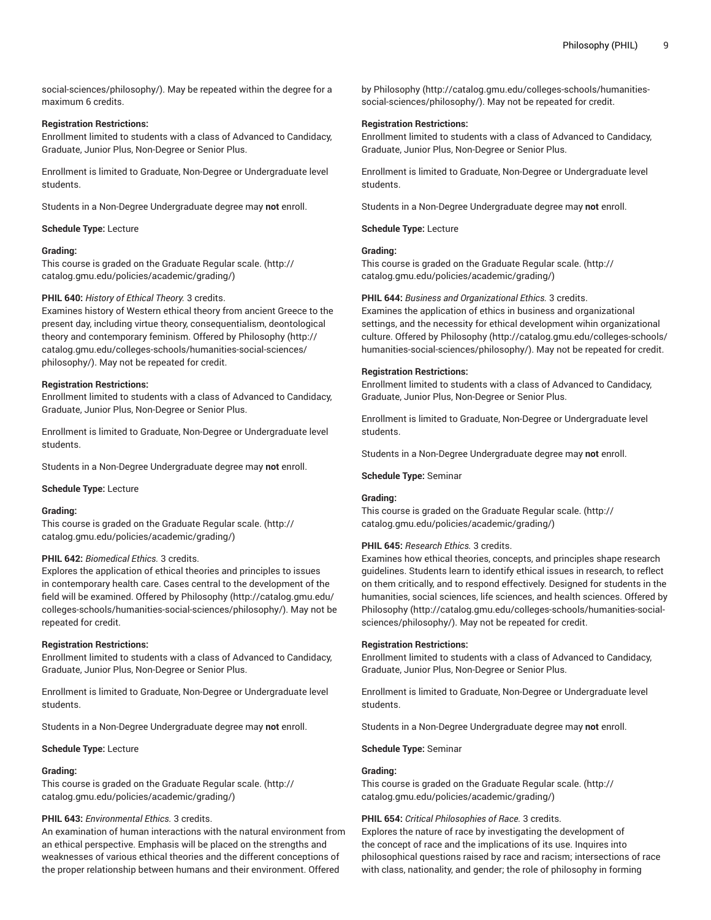[social-sciences/philosophy/](http://catalog.gmu.edu/colleges-schools/humanities-social-sciences/philosophy/)). May be repeated within the degree for a maximum 6 credits.

## **Registration Restrictions:**

Enrollment limited to students with a class of Advanced to Candidacy, Graduate, Junior Plus, Non-Degree or Senior Plus.

Enrollment is limited to Graduate, Non-Degree or Undergraduate level students.

Students in a Non-Degree Undergraduate degree may **not** enroll.

# **Schedule Type:** Lecture

# **Grading:**

This course is graded on the [Graduate Regular scale.](http://catalog.gmu.edu/policies/academic/grading/) [\(http://](http://catalog.gmu.edu/policies/academic/grading/) [catalog.gmu.edu/policies/academic/grading/\)](http://catalog.gmu.edu/policies/academic/grading/)

## **PHIL 640:** *History of Ethical Theory.* 3 credits.

Examines history of Western ethical theory from ancient Greece to the present day, including virtue theory, consequentialism, deontological theory and contemporary feminism. Offered by [Philosophy](http://catalog.gmu.edu/colleges-schools/humanities-social-sciences/philosophy/) [\(http://](http://catalog.gmu.edu/colleges-schools/humanities-social-sciences/philosophy/) [catalog.gmu.edu/colleges-schools/humanities-social-sciences/](http://catalog.gmu.edu/colleges-schools/humanities-social-sciences/philosophy/) [philosophy/\)](http://catalog.gmu.edu/colleges-schools/humanities-social-sciences/philosophy/). May not be repeated for credit.

## **Registration Restrictions:**

Enrollment limited to students with a class of Advanced to Candidacy, Graduate, Junior Plus, Non-Degree or Senior Plus.

Enrollment is limited to Graduate, Non-Degree or Undergraduate level students.

Students in a Non-Degree Undergraduate degree may **not** enroll.

## **Schedule Type:** Lecture

## **Grading:**

This course is graded on the [Graduate Regular scale.](http://catalog.gmu.edu/policies/academic/grading/) [\(http://](http://catalog.gmu.edu/policies/academic/grading/) [catalog.gmu.edu/policies/academic/grading/\)](http://catalog.gmu.edu/policies/academic/grading/)

## **PHIL 642:** *Biomedical Ethics.* 3 credits.

Explores the application of ethical theories and principles to issues in contemporary health care. Cases central to the development of the field will be examined. Offered by [Philosophy](http://catalog.gmu.edu/colleges-schools/humanities-social-sciences/philosophy/) ([http://catalog.gmu.edu/](http://catalog.gmu.edu/colleges-schools/humanities-social-sciences/philosophy/) [colleges-schools/humanities-social-sciences/philosophy/\)](http://catalog.gmu.edu/colleges-schools/humanities-social-sciences/philosophy/). May not be repeated for credit.

## **Registration Restrictions:**

Enrollment limited to students with a class of Advanced to Candidacy, Graduate, Junior Plus, Non-Degree or Senior Plus.

Enrollment is limited to Graduate, Non-Degree or Undergraduate level students.

Students in a Non-Degree Undergraduate degree may **not** enroll.

**Schedule Type:** Lecture

# **Grading:**

This course is graded on the [Graduate Regular scale.](http://catalog.gmu.edu/policies/academic/grading/) [\(http://](http://catalog.gmu.edu/policies/academic/grading/) [catalog.gmu.edu/policies/academic/grading/\)](http://catalog.gmu.edu/policies/academic/grading/)

# **PHIL 643:** *Environmental Ethics.* 3 credits.

An examination of human interactions with the natural environment from an ethical perspective. Emphasis will be placed on the strengths and weaknesses of various ethical theories and the different conceptions of the proper relationship between humans and their environment. Offered

by [Philosophy](http://catalog.gmu.edu/colleges-schools/humanities-social-sciences/philosophy/) ([http://catalog.gmu.edu/colleges-schools/humanities](http://catalog.gmu.edu/colleges-schools/humanities-social-sciences/philosophy/)[social-sciences/philosophy/\)](http://catalog.gmu.edu/colleges-schools/humanities-social-sciences/philosophy/). May not be repeated for credit.

# **Registration Restrictions:**

Enrollment limited to students with a class of Advanced to Candidacy, Graduate, Junior Plus, Non-Degree or Senior Plus.

Enrollment is limited to Graduate, Non-Degree or Undergraduate level students.

Students in a Non-Degree Undergraduate degree may **not** enroll.

**Schedule Type:** Lecture

# **Grading:**

This course is graded on the [Graduate Regular scale.](http://catalog.gmu.edu/policies/academic/grading/) ([http://](http://catalog.gmu.edu/policies/academic/grading/) [catalog.gmu.edu/policies/academic/grading/](http://catalog.gmu.edu/policies/academic/grading/))

# **PHIL 644:** *Business and Organizational Ethics.* 3 credits.

Examines the application of ethics in business and organizational settings, and the necessity for ethical development wihin organizational culture. Offered by [Philosophy \(http://catalog.gmu.edu/colleges-schools/](http://catalog.gmu.edu/colleges-schools/humanities-social-sciences/philosophy/) [humanities-social-sciences/philosophy/](http://catalog.gmu.edu/colleges-schools/humanities-social-sciences/philosophy/)). May not be repeated for credit.

# **Registration Restrictions:**

Enrollment limited to students with a class of Advanced to Candidacy, Graduate, Junior Plus, Non-Degree or Senior Plus.

Enrollment is limited to Graduate, Non-Degree or Undergraduate level students.

Students in a Non-Degree Undergraduate degree may **not** enroll.

**Schedule Type:** Seminar

# **Grading:**

This course is graded on the [Graduate Regular scale.](http://catalog.gmu.edu/policies/academic/grading/) ([http://](http://catalog.gmu.edu/policies/academic/grading/) [catalog.gmu.edu/policies/academic/grading/](http://catalog.gmu.edu/policies/academic/grading/))

# **PHIL 645:** *Research Ethics.* 3 credits.

Examines how ethical theories, concepts, and principles shape research guidelines. Students learn to identify ethical issues in research, to reflect on them critically, and to respond effectively. Designed for students in the humanities, social sciences, life sciences, and health sciences. Offered by [Philosophy](http://catalog.gmu.edu/colleges-schools/humanities-social-sciences/philosophy/) [\(http://catalog.gmu.edu/colleges-schools/humanities-social](http://catalog.gmu.edu/colleges-schools/humanities-social-sciences/philosophy/)[sciences/philosophy/](http://catalog.gmu.edu/colleges-schools/humanities-social-sciences/philosophy/)). May not be repeated for credit.

## **Registration Restrictions:**

Enrollment limited to students with a class of Advanced to Candidacy, Graduate, Junior Plus, Non-Degree or Senior Plus.

Enrollment is limited to Graduate, Non-Degree or Undergraduate level students.

Students in a Non-Degree Undergraduate degree may **not** enroll.

**Schedule Type:** Seminar

# **Grading:**

This course is graded on the [Graduate Regular scale.](http://catalog.gmu.edu/policies/academic/grading/) ([http://](http://catalog.gmu.edu/policies/academic/grading/) [catalog.gmu.edu/policies/academic/grading/](http://catalog.gmu.edu/policies/academic/grading/))

# **PHIL 654:** *Critical Philosophies of Race.* 3 credits.

Explores the nature of race by investigating the development of the concept of race and the implications of its use. Inquires into philosophical questions raised by race and racism; intersections of race with class, nationality, and gender; the role of philosophy in forming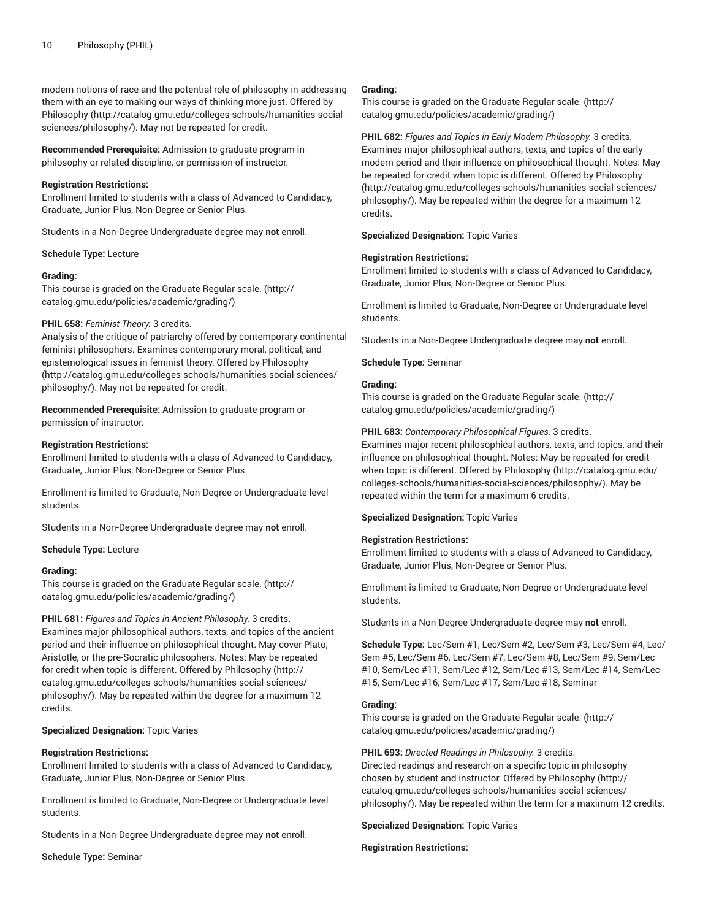modern notions of race and the potential role of philosophy in addressing them with an eye to making our ways of thinking more just. Offered by [Philosophy](http://catalog.gmu.edu/colleges-schools/humanities-social-sciences/philosophy/) ([http://catalog.gmu.edu/colleges-schools/humanities-social](http://catalog.gmu.edu/colleges-schools/humanities-social-sciences/philosophy/)[sciences/philosophy/\)](http://catalog.gmu.edu/colleges-schools/humanities-social-sciences/philosophy/). May not be repeated for credit.

**Recommended Prerequisite:** Admission to graduate program in philosophy or related discipline, or permission of instructor.

#### **Registration Restrictions:**

Enrollment limited to students with a class of Advanced to Candidacy, Graduate, Junior Plus, Non-Degree or Senior Plus.

Students in a Non-Degree Undergraduate degree may **not** enroll.

#### **Schedule Type:** Lecture

#### **Grading:**

This course is graded on the [Graduate Regular scale.](http://catalog.gmu.edu/policies/academic/grading/) [\(http://](http://catalog.gmu.edu/policies/academic/grading/) [catalog.gmu.edu/policies/academic/grading/\)](http://catalog.gmu.edu/policies/academic/grading/)

#### **PHIL 658:** *Feminist Theory.* 3 credits.

Analysis of the critique of patriarchy offered by contemporary continental feminist philosophers. Examines contemporary moral, political, and epistemological issues in feminist theory. Offered by [Philosophy](http://catalog.gmu.edu/colleges-schools/humanities-social-sciences/philosophy/) ([http://catalog.gmu.edu/colleges-schools/humanities-social-sciences/](http://catalog.gmu.edu/colleges-schools/humanities-social-sciences/philosophy/) [philosophy/\)](http://catalog.gmu.edu/colleges-schools/humanities-social-sciences/philosophy/). May not be repeated for credit.

**Recommended Prerequisite:** Admission to graduate program or permission of instructor.

#### **Registration Restrictions:**

Enrollment limited to students with a class of Advanced to Candidacy, Graduate, Junior Plus, Non-Degree or Senior Plus.

Enrollment is limited to Graduate, Non-Degree or Undergraduate level students.

Students in a Non-Degree Undergraduate degree may **not** enroll.

#### **Schedule Type:** Lecture

#### **Grading:**

This course is graded on the [Graduate Regular scale.](http://catalog.gmu.edu/policies/academic/grading/) [\(http://](http://catalog.gmu.edu/policies/academic/grading/) [catalog.gmu.edu/policies/academic/grading/\)](http://catalog.gmu.edu/policies/academic/grading/)

**PHIL 681:** *Figures and Topics in Ancient Philosophy.* 3 credits. Examines major philosophical authors, texts, and topics of the ancient period and their influence on philosophical thought. May cover Plato, Aristotle, or the pre-Socratic philosophers. Notes: May be repeated for credit when topic is different. Offered by [Philosophy \(http://](http://catalog.gmu.edu/colleges-schools/humanities-social-sciences/philosophy/) [catalog.gmu.edu/colleges-schools/humanities-social-sciences/](http://catalog.gmu.edu/colleges-schools/humanities-social-sciences/philosophy/) [philosophy/\)](http://catalog.gmu.edu/colleges-schools/humanities-social-sciences/philosophy/). May be repeated within the degree for a maximum 12 credits.

**Specialized Designation:** Topic Varies

#### **Registration Restrictions:**

Enrollment limited to students with a class of Advanced to Candidacy, Graduate, Junior Plus, Non-Degree or Senior Plus.

Enrollment is limited to Graduate, Non-Degree or Undergraduate level students.

Students in a Non-Degree Undergraduate degree may **not** enroll.

**Schedule Type:** Seminar

#### **Grading:**

This course is graded on the [Graduate Regular scale.](http://catalog.gmu.edu/policies/academic/grading/) ([http://](http://catalog.gmu.edu/policies/academic/grading/) [catalog.gmu.edu/policies/academic/grading/](http://catalog.gmu.edu/policies/academic/grading/))

**PHIL 682:** *Figures and Topics in Early Modern Philosophy.* 3 credits. Examines major philosophical authors, texts, and topics of the early modern period and their influence on philosophical thought. Notes: May be repeated for credit when topic is different. Offered by [Philosophy](http://catalog.gmu.edu/colleges-schools/humanities-social-sciences/philosophy/) [\(http://catalog.gmu.edu/colleges-schools/humanities-social-sciences/](http://catalog.gmu.edu/colleges-schools/humanities-social-sciences/philosophy/) [philosophy/](http://catalog.gmu.edu/colleges-schools/humanities-social-sciences/philosophy/)). May be repeated within the degree for a maximum 12 credits.

**Specialized Designation:** Topic Varies

#### **Registration Restrictions:**

Enrollment limited to students with a class of Advanced to Candidacy, Graduate, Junior Plus, Non-Degree or Senior Plus.

Enrollment is limited to Graduate, Non-Degree or Undergraduate level students.

Students in a Non-Degree Undergraduate degree may **not** enroll.

**Schedule Type:** Seminar

# **Grading:**

This course is graded on the [Graduate Regular scale.](http://catalog.gmu.edu/policies/academic/grading/) ([http://](http://catalog.gmu.edu/policies/academic/grading/) [catalog.gmu.edu/policies/academic/grading/](http://catalog.gmu.edu/policies/academic/grading/))

#### **PHIL 683:** *Contemporary Philosophical Figures.* 3 credits.

Examines major recent philosophical authors, texts, and topics, and their influence on philosophical thought. Notes: May be repeated for credit when topic is different. Offered by [Philosophy \(http://catalog.gmu.edu/](http://catalog.gmu.edu/colleges-schools/humanities-social-sciences/philosophy/) [colleges-schools/humanities-social-sciences/philosophy/\)](http://catalog.gmu.edu/colleges-schools/humanities-social-sciences/philosophy/). May be repeated within the term for a maximum 6 credits.

**Specialized Designation:** Topic Varies

# **Registration Restrictions:**

Enrollment limited to students with a class of Advanced to Candidacy, Graduate, Junior Plus, Non-Degree or Senior Plus.

Enrollment is limited to Graduate, Non-Degree or Undergraduate level students.

Students in a Non-Degree Undergraduate degree may **not** enroll.

**Schedule Type:** Lec/Sem #1, Lec/Sem #2, Lec/Sem #3, Lec/Sem #4, Lec/ Sem #5, Lec/Sem #6, Lec/Sem #7, Lec/Sem #8, Lec/Sem #9, Sem/Lec #10, Sem/Lec #11, Sem/Lec #12, Sem/Lec #13, Sem/Lec #14, Sem/Lec #15, Sem/Lec #16, Sem/Lec #17, Sem/Lec #18, Seminar

#### **Grading:**

This course is graded on the [Graduate Regular scale.](http://catalog.gmu.edu/policies/academic/grading/) ([http://](http://catalog.gmu.edu/policies/academic/grading/) [catalog.gmu.edu/policies/academic/grading/](http://catalog.gmu.edu/policies/academic/grading/))

**PHIL 693:** *Directed Readings in Philosophy.* 3 credits. Directed readings and research on a specific topic in philosophy chosen by student and instructor. Offered by [Philosophy \(http://](http://catalog.gmu.edu/colleges-schools/humanities-social-sciences/philosophy/) [catalog.gmu.edu/colleges-schools/humanities-social-sciences/](http://catalog.gmu.edu/colleges-schools/humanities-social-sciences/philosophy/) [philosophy/](http://catalog.gmu.edu/colleges-schools/humanities-social-sciences/philosophy/)). May be repeated within the term for a maximum 12 credits.

**Specialized Designation:** Topic Varies

#### **Registration Restrictions:**